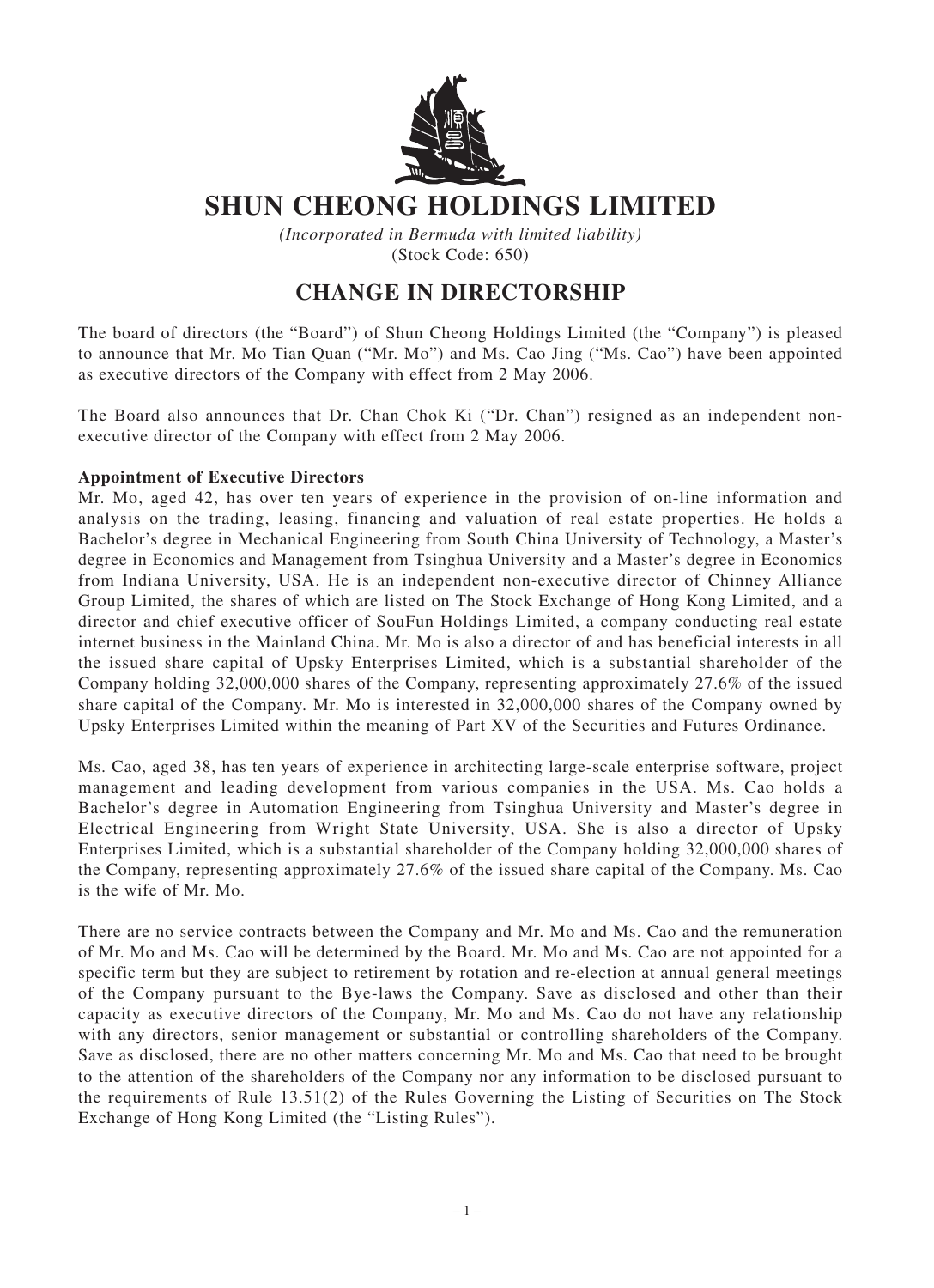

## **SHUN CHEONG HOLDINGS LIMITED**

*(Incorporated in Bermuda with limited liability)* (Stock Code: 650)

## **CHANGE IN DIRECTORSHIP**

The board of directors (the "Board") of Shun Cheong Holdings Limited (the "Company") is pleased to announce that Mr. Mo Tian Quan ("Mr. Mo") and Ms. Cao Jing ("Ms. Cao") have been appointed as executive directors of the Company with effect from 2 May 2006.

The Board also announces that Dr. Chan Chok Ki ("Dr. Chan") resigned as an independent nonexecutive director of the Company with effect from 2 May 2006.

## **Appointment of Executive Directors**

Mr. Mo, aged 42, has over ten years of experience in the provision of on-line information and analysis on the trading, leasing, financing and valuation of real estate properties. He holds a Bachelor's degree in Mechanical Engineering from South China University of Technology, a Master's degree in Economics and Management from Tsinghua University and a Master's degree in Economics from Indiana University, USA. He is an independent non-executive director of Chinney Alliance Group Limited, the shares of which are listed on The Stock Exchange of Hong Kong Limited, and a director and chief executive officer of SouFun Holdings Limited, a company conducting real estate internet business in the Mainland China. Mr. Mo is also a director of and has beneficial interests in all the issued share capital of Upsky Enterprises Limited, which is a substantial shareholder of the Company holding 32,000,000 shares of the Company, representing approximately 27.6% of the issued share capital of the Company. Mr. Mo is interested in 32,000,000 shares of the Company owned by Upsky Enterprises Limited within the meaning of Part XV of the Securities and Futures Ordinance.

Ms. Cao, aged 38, has ten years of experience in architecting large-scale enterprise software, project management and leading development from various companies in the USA. Ms. Cao holds a Bachelor's degree in Automation Engineering from Tsinghua University and Master's degree in Electrical Engineering from Wright State University, USA. She is also a director of Upsky Enterprises Limited, which is a substantial shareholder of the Company holding 32,000,000 shares of the Company, representing approximately 27.6% of the issued share capital of the Company. Ms. Cao is the wife of Mr. Mo.

There are no service contracts between the Company and Mr. Mo and Ms. Cao and the remuneration of Mr. Mo and Ms. Cao will be determined by the Board. Mr. Mo and Ms. Cao are not appointed for a specific term but they are subject to retirement by rotation and re-election at annual general meetings of the Company pursuant to the Bye-laws the Company. Save as disclosed and other than their capacity as executive directors of the Company, Mr. Mo and Ms. Cao do not have any relationship with any directors, senior management or substantial or controlling shareholders of the Company. Save as disclosed, there are no other matters concerning Mr. Mo and Ms. Cao that need to be brought to the attention of the shareholders of the Company nor any information to be disclosed pursuant to the requirements of Rule 13.51(2) of the Rules Governing the Listing of Securities on The Stock Exchange of Hong Kong Limited (the "Listing Rules").